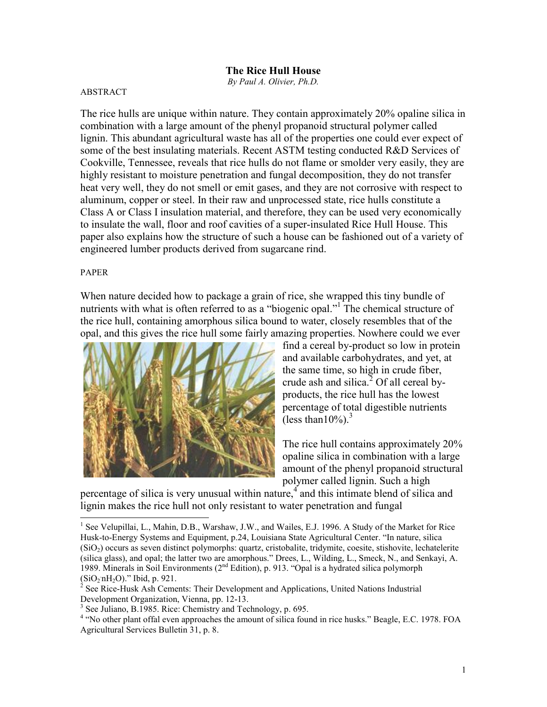## ABSTRACT

The rice hulls are unique within nature. They contain approximately 20% opaline silica in combination with a large amount of the phenyl propanoid structural polymer called lignin. This abundant agricultural waste has all of the properties one could ever expect of some of the best insulating materials. Recent ASTM testing conducted R&D Services of Cookville, Tennessee, reveals that rice hulls do not flame or smolder very easily, they are highly resistant to moisture penetration and fungal decomposition, they do not transfer heat very well, they do not smell or emit gases, and they are not corrosive with respect to aluminum, copper or steel. In their raw and unprocessed state, rice hulls constitute a Class A or Class I insulation material, and therefore, they can be used very economically to insulate the wall, floor and roof cavities of a super-insulated Rice Hull House. This paper also explains how the structure of such a house can be fashioned out of a variety of engineered lumber products derived from sugarcane rind.

## PAPER

When nature decided how to package a grain of rice, she wrapped this tiny bundle of nutrients with what is often referred to as a "biogenic opal."<sup>1</sup> The chemical structure of the rice hull, containing amorphous silica bound to water, closely resembles that of the opal, and this gives the rice hull some fairly amazing properties. Nowhere could we ever



find a cereal by-product so low in protein and available carbohydrates, and yet, at the same time, so high in crude fiber, crude ash and silica.<sup>2</sup> Of all cereal byproducts, the rice hull has the lowest percentage of total digestible nutrients (less than  $10\%$ ).<sup>3</sup>

The rice hull contains approximately 20% opaline silica in combination with a large amount of the phenyl propanoid structural polymer called lignin. Such a high

percentage of silica is very unusual within nature,<sup>4</sup> and this intimate blend of silica and lignin makes the rice hull not only resistant to water penetration and fungal

<sup>&</sup>lt;sup>1</sup> See Velupillai, L., Mahin, D.B., Warshaw, J.W., and Wailes, E.J. 1996. A Study of the Market for Rice Husk-to-Energy Systems and Equipment, p.24, Louisiana State Agricultural Center. "In nature, silica (SiO2) occurs as seven distinct polymorphs: quartz, cristobalite, tridymite, coesite, stishovite, lechatelerite (silica glass), and opal; the latter two are amorphous." Drees, L., Wilding, L., Smeck, N., and Senkayi, A. 1989. Minerals in Soil Environments (2nd Edition), p. 913. "Opal is a hydrated silica polymorph  $(SiO<sub>2</sub>)$ 

 $\lambda^2$  See Rice-Husk Ash Cements: Their Development and Applications, United Nations Industrial Development Organization, Vienna, pp. 12-13.

<sup>&</sup>lt;sup>3</sup> See Juliano, B.1985. Rice: Chemistry and Technology, p. 695.

<sup>&</sup>lt;sup>4</sup> "No other plant offal even approaches the amount of silica found in rice husks." Beagle, E.C. 1978. FOA Agricultural Services Bulletin 31, p. 8.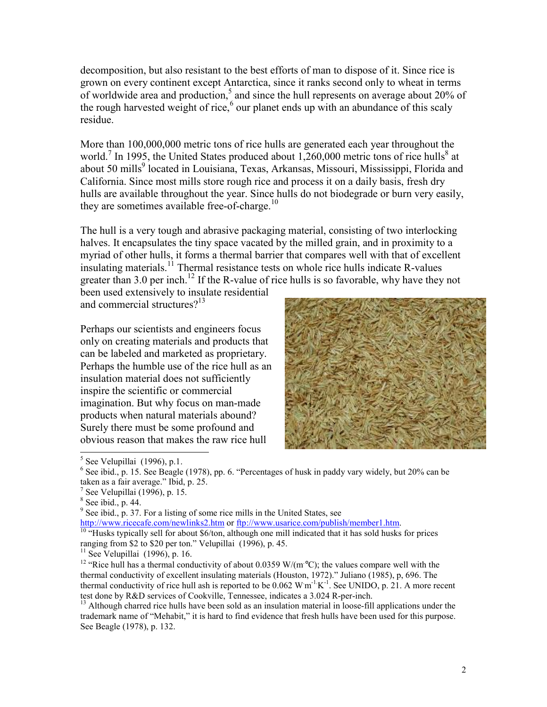decomposition, but also resistant to the best efforts of man to dispose of it. Since rice is grown on every continent except Antarctica, since it ranks second only to wheat in terms of worldwide area and production,<sup>5</sup> and since the hull represents on average about 20% of the rough harvested weight of rice,<sup>6</sup> our planet ends up with an abundance of this scaly residue.

More than 100,000,000 metric tons of rice hulls are generated each year throughout the world.<sup>7</sup> In 1995, the United States produced about 1,260,000 metric tons of rice hulls<sup>8</sup> at about 50 mills<sup>9</sup> located in Louisiana, Texas, Arkansas, Missouri, Mississippi, Florida and California. Since most mills store rough rice and process it on a daily basis, fresh dry hulls are available throughout the year. Since hulls do not biodegrade or burn very easily, they are sometimes available free-of-charge. $^{10}$ 

The hull is a very tough and abrasive packaging material, consisting of two interlocking halves. It encapsulates the tiny space vacated by the milled grain, and in proximity to a myriad of other hulls, it forms a thermal barrier that compares well with that of excellent insulating materials.<sup>11</sup> Thermal resistance tests on whole rice hulls indicate R-values greater than 3.0 per inch.<sup>12</sup> If the R-value of rice hulls is so favorable, why have they not

been used extensively to insulate residential and commercial structures?<sup>13</sup>

Perhaps our scientists and engineers focus only on creating materials and products that can be labeled and marketed as proprietary. Perhaps the humble use of the rice hull as an insulation material does not sufficiently inspire the scientific or commercial imagination. But why focus on man-made products when natural materials abound? Surely there must be some profound and obvious reason that makes the raw rice hull



http://www.ricecafe.com/newlinks2.htm or ftp://www.usarice.com/publish/member1.htm.<br><sup>10</sup> "Husks typically sell for about \$6/ton, although one mill indicated that it has sold husks for prices ranging from \$2 to \$20 per ton." Velupillai (1996), p. 45.

<sup>13</sup> Although charred rice hulls have been sold as an insulation material in loose-fill applications under the trademark name of "Mehabit," it is hard to find evidence that fresh hulls have been used for this purpose. See Beagle (1978), p. 132.

 $<sup>5</sup>$  See Velupillai (1996), p.1.</sup>

 $6$  See ibid., p. 15. See Beagle (1978), pp. 6. "Percentages of husk in paddy vary widely, but 20% can be taken as a fair average." Ibid, p. 25.

 $<sup>7</sup>$  See Velupillai (1996), p. 15.</sup>

 $8$  See ibid., p. 44.

 $9^9$  See ibid., p. 37. For a listing of some rice mills in the United States, see

 $11$  See Velupillai (1996), p. 16.

<sup>&</sup>lt;sup>12</sup> "Rice hull has a thermal conductivity of about 0.0359 W/(m<sup>o</sup>C); the values compare well with the thermal conductivity of excellent insulating materials (Houston, 1972)." Juliano (1985), p, 696. The thermal conductivity of rice hull ash is reported to be  $0.062 \text{ W m}^{-1} \text{K}^{-1}$ . See UNIDO, p. 21. A more recent test done by R&D services of Cookville, Tennessee, indicates a 3.024 R-per-inch.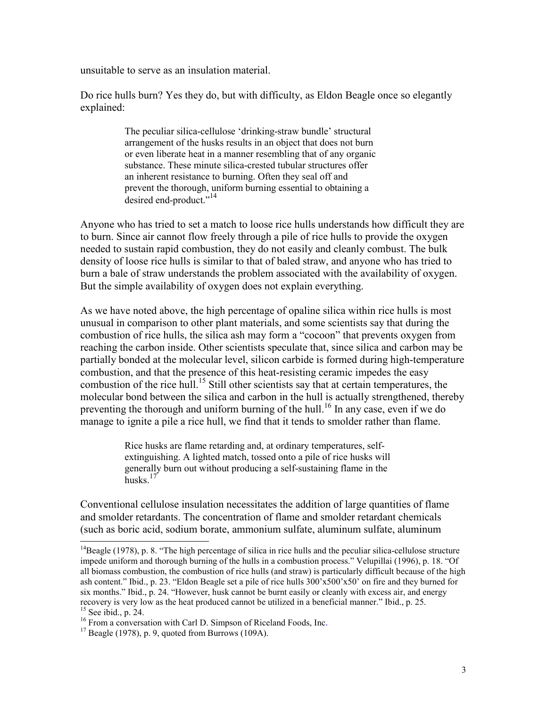unsuitable to serve as an insulation material.

Do rice hulls burn? Yes they do, but with difficulty, as Eldon Beagle once so elegantly explained:

> The peculiar silica-cellulose 'drinking-straw bundle' structural arrangement of the husks results in an object that does not burn or even liberate heat in a manner resembling that of any organic substance. These minute silica-crested tubular structures offer an inherent resistance to burning. Often they seal off and prevent the thorough, uniform burning essential to obtaining a desired end-product."<sup>14</sup>

Anyone who has tried to set a match to loose rice hulls understands how difficult they are to burn. Since air cannot flow freely through a pile of rice hulls to provide the oxygen needed to sustain rapid combustion, they do not easily and cleanly combust. The bulk density of loose rice hulls is similar to that of baled straw, and anyone who has tried to burn a bale of straw understands the problem associated with the availability of oxygen. But the simple availability of oxygen does not explain everything.

As we have noted above, the high percentage of opaline silica within rice hulls is most unusual in comparison to other plant materials, and some scientists say that during the combustion of rice hulls, the silica ash may form a "cocoon" that prevents oxygen from reaching the carbon inside. Other scientists speculate that, since silica and carbon may be partially bonded at the molecular level, silicon carbide is formed during high-temperature combustion, and that the presence of this heat-resisting ceramic impedes the easy combustion of the rice hull.<sup>15</sup> Still other scientists say that at certain temperatures, the molecular bond between the silica and carbon in the hull is actually strengthened, thereby preventing the thorough and uniform burning of the hull.<sup>16</sup> In any case, even if we do manage to ignite a pile a rice hull, we find that it tends to smolder rather than flame.

> Rice husks are flame retarding and, at ordinary temperatures, selfextinguishing. A lighted match, tossed onto a pile of rice husks will generally burn out without producing a self-sustaining flame in the husks $17$

Conventional cellulose insulation necessitates the addition of large quantities of flame and smolder retardants. The concentration of flame and smolder retardant chemicals (such as boric acid, sodium borate, ammonium sulfate, aluminum sulfate, aluminum

 $14B$ eagle (1978), p. 8. "The high percentage of silica in rice hulls and the peculiar silica-cellulose structure impede uniform and thorough burning of the hulls in a combustion process." Velupillai (1996), p. 18. "Of all biomass combustion, the combustion of rice hulls (and straw) is particularly difficult because of the high ash content." Ibid., p. 23. "Eldon Beagle set a pile of rice hulls 300'x500'x50' on fire and they burned for six months." Ibid., p. 24. "However, husk cannot be burnt easily or cleanly with excess air, and energy recovery is very low as the heat produced cannot be utilized in a beneficial manner." Ibid., p. 25.  $15$  See ibid., p. 24.

<sup>&</sup>lt;sup>16</sup> From a conversation with Carl D. Simpson of Riceland Foods, Inc. <sup>17</sup> Beagle (1978), p. 9, quoted from Burrows (109A).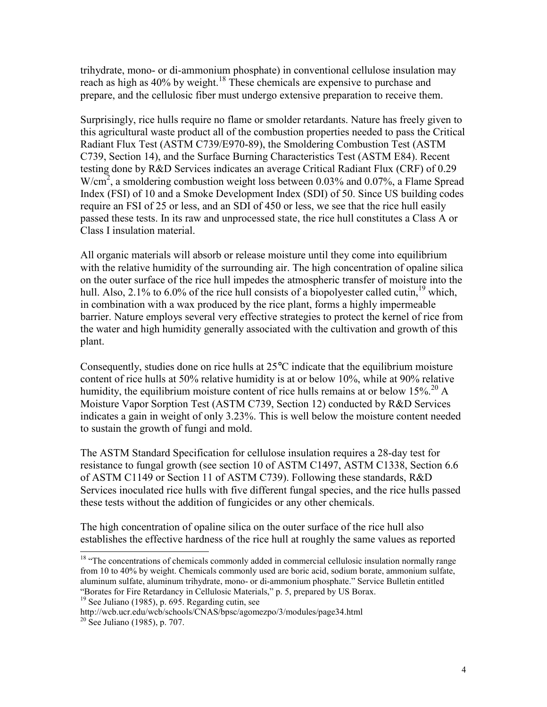trihydrate, mono- or di-ammonium phosphate) in conventional cellulose insulation may reach as high as 40% by weight.<sup>18</sup> These chemicals are expensive to purchase and prepare, and the cellulosic fiber must undergo extensive preparation to receive them.

Surprisingly, rice hulls require no flame or smolder retardants. Nature has freely given to this agricultural waste product all of the combustion properties needed to pass the Critical Radiant Flux Test (ASTM C739/E970-89), the Smoldering Combustion Test (ASTM C739, Section 14), and the Surface Burning Characteristics Test (ASTM E84). Recent testing done by R&D Services indicates an average Critical Radiant Flux (CRF) of 0.29  $W/cm<sup>2</sup>$ , a smoldering combustion weight loss between 0.03% and 0.07%, a Flame Spread Index (FSI) of 10 and a Smoke Development Index (SDI) of 50. Since US building codes require an FSI of 25 or less, and an SDI of 450 or less, we see that the rice hull easily passed these tests. In its raw and unprocessed state, the rice hull constitutes a Class A or Class I insulation material.

All organic materials will absorb or release moisture until they come into equilibrium with the relative humidity of the surrounding air. The high concentration of opaline silica on the outer surface of the rice hull impedes the atmospheric transfer of moisture into the hull. Also, 2.1% to 6.0% of the rice hull consists of a biopolyester called cutin, <sup>19</sup> which, in combination with a wax produced by the rice plant, forms a highly impermeable barrier. Nature employs several very effective strategies to protect the kernel of rice from the water and high humidity generally associated with the cultivation and growth of this plant.

Consequently, studies done on rice hulls at  $25^{\circ}$ C indicate that the equilibrium moisture content of rice hulls at 50% relative humidity is at or below 10%, while at 90% relative humidity, the equilibrium moisture content of rice hulls remains at or below  $15\%$ .<sup>20</sup> A Moisture Vapor Sorption Test (ASTM C739, Section 12) conducted by R&D Services indicates a gain in weight of only 3.23%. This is well below the moisture content needed to sustain the growth of fungi and mold.

The ASTM Standard Specification for cellulose insulation requires a 28-day test for resistance to fungal growth (see section 10 of ASTM C1497, ASTM C1338, Section 6.6 of ASTM C1149 or Section 11 of ASTM C739). Following these standards, R&D Services inoculated rice hulls with five different fungal species, and the rice hulls passed these tests without the addition of fungicides or any other chemicals.

The high concentration of opaline silica on the outer surface of the rice hull also establishes the effective hardness of the rice hull at roughly the same values as reported

 $19$  See Juliano (1985), p. 695. Regarding cutin, see

http://wcb.ucr.edu/wcb/schools/CNAS/bpsc/agomezpo/3/modules/page34.html

<sup>&</sup>lt;sup>18</sup> "The concentrations of chemicals commonly added in commercial cellulosic insulation normally range from 10 to 40% by weight. Chemicals commonly used are boric acid, sodium borate, ammonium sulfate, aluminum sulfate, aluminum trihydrate, mono- or di-ammonium phosphate." Service Bulletin entitled "Borates for Fire Retardancy in Cellulosic Materials," p. 5, prepared by US Borax.

 $20^{20}$  See Juliano (1985), p. 707.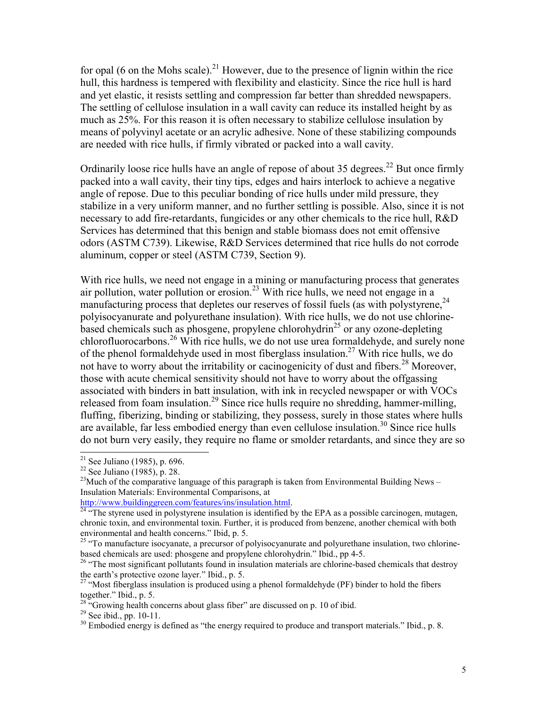for opal (6 on the Mohs scale).<sup>21</sup> However, due to the presence of lignin within the rice hull, this hardness is tempered with flexibility and elasticity. Since the rice hull is hard and yet elastic, it resists settling and compression far better than shredded newspapers. The settling of cellulose insulation in a wall cavity can reduce its installed height by as much as 25%. For this reason it is often necessary to stabilize cellulose insulation by means of polyvinyl acetate or an acrylic adhesive. None of these stabilizing compounds are needed with rice hulls, if firmly vibrated or packed into a wall cavity.

Ordinarily loose rice hulls have an angle of repose of about 35 degrees.<sup>22</sup> But once firmly packed into a wall cavity, their tiny tips, edges and hairs interlock to achieve a negative angle of repose. Due to this peculiar bonding of rice hulls under mild pressure, they stabilize in a very uniform manner, and no further settling is possible. Also, since it is not necessary to add fire-retardants, fungicides or any other chemicals to the rice hull, R&D Services has determined that this benign and stable biomass does not emit offensive odors (ASTM C739). Likewise, R&D Services determined that rice hulls do not corrode aluminum, copper or steel (ASTM C739, Section 9).

With rice hulls, we need not engage in a mining or manufacturing process that generates air pollution, water pollution or erosion.<sup>23</sup> With rice hulls, we need not engage in a manufacturing process that depletes our reserves of fossil fuels (as with polystyrene,<sup>24</sup>) polyisocyanurate and polyurethane insulation). With rice hulls, we do not use chlorinebased chemicals such as phosgene, propylene chlorohydrin<sup>25</sup> or any ozone-depleting chlorofluorocarbons.<sup>26</sup> With rice hulls, we do not use urea formaldehyde, and surely none of the phenol formaldehyde used in most fiberglass insulation.<sup>27</sup> With rice hulls, we do not have to worry about the irritability or cacinogenicity of dust and fibers.<sup>28</sup> Moreover, those with acute chemical sensitivity should not have to worry about the offgassing associated with binders in batt insulation, with ink in recycled newspaper or with VOCs released from foam insulation.<sup>29</sup> Since rice hulls require no shredding, hammer-milling, fluffing, fiberizing, binding or stabilizing, they possess, surely in those states where hulls are available, far less embodied energy than even cellulose insulation.<sup>30</sup> Since rice hulls do not burn very easily, they require no flame or smolder retardants, and since they are so

 $21$  See Juliano (1985), p. 696.

<sup>22</sup> See Juliano (1985), p. 28.

<sup>&</sup>lt;sup>23</sup>Much of the comparative language of this paragraph is taken from Environmental Building News – Insulation Materials: Environmental Comparisons, at

http://www.buildinggreen.com/features/ins/insulation.html.<br><sup>24</sup> "The styrene used in polystyrene insulation is identified by the EPA as a possible carcinogen, mutagen, chronic toxin, and environmental toxin. Further, it is produced from benzene, another chemical with both environmental and health concerns." Ibid, p. 5.

 $25$  "To manufacture isocyanate, a precursor of polyisocyanurate and polyurethane insulation, two chlorinebased chemicals are used: phosgene and propylene chlorohydrin." Ibid., pp 4-5.

<sup>&</sup>lt;sup>26</sup> "The most significant pollutants found in insulation materials are chlorine-based chemicals that destroy the earth's protective ozone layer." Ibid., p. 5.

<sup>&</sup>lt;sup>27</sup> "Most fiberglass insulation is produced using a phenol formaldehyde (PF) binder to hold the fibers together." Ibid., p. 5.

 $28$  "Growing health concerns about glass fiber" are discussed on p. 10 of ibid.

 $29$  See ibid., pp. 10-11.

 $30$  Embodied energy is defined as "the energy required to produce and transport materials." Ibid., p. 8.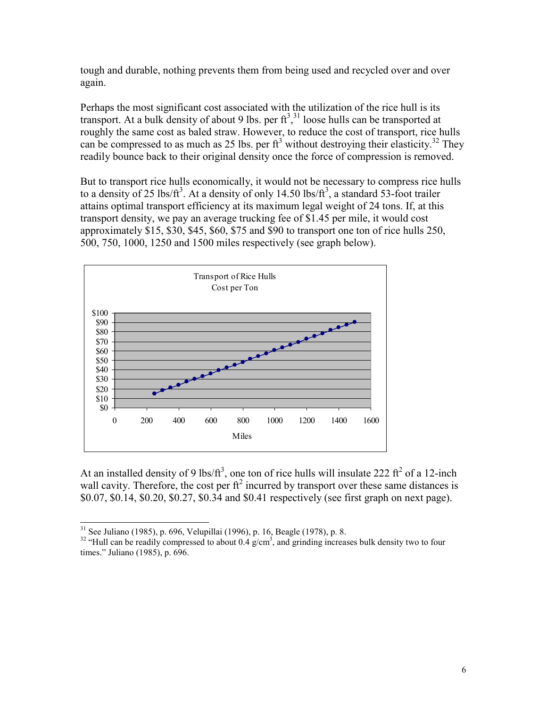tough and durable, nothing prevents them from being used and recycled over and over again.

Perhaps the most significant cost associated with the utilization of the rice hull is its transport. At a bulk density of about 9 lbs. per  $ft<sup>3,31</sup>$  loose hulls can be transported at roughly the same cost as baled straw. However, to reduce the cost of transport, rice hulls can be compressed to as much as 25 lbs. per  $ft^3$  without destroying their elasticity.<sup>32</sup> They readily bounce back to their original density once the force of compression is removed.

But to transport rice hulls economically, it would not be necessary to compress rice hulls to a density of 25 lbs/ $ft^3$ . At a density of only 14.50 lbs/ $ft^3$ , a standard 53-foot trailer attains optimal transport efficiency at its maximum legal weight of 24 tons. If, at this transport density, we pay an average trucking fee of \$1.45 per mile, it would cost approximately \$15, \$30, \$45, \$60, \$75 and \$90 to transport one ton of rice hulls 250, 500, 750, 1000, 1250 and 1500 miles respectively (see graph below).



At an installed density of 9 lbs/ $ft^3$ , one ton of rice hulls will insulate 222  $ft^2$  of a 12-inch wall cavity. Therefore, the cost per  $f_1^2$  incurred by transport over these same distances is \$0.07, \$0.14, \$0.20, \$0.27, \$0.34 and \$0.41 respectively (see first graph on next page).

 $31$  See Juliano (1985), p. 696, Velupillai (1996), p. 16, Beagle (1978), p. 8.

 $32$  "Hull can be readily compressed to about 0.4 g/cm<sup>3</sup>, and grinding increases bulk density two to four times." Juliano (1985), p. 696.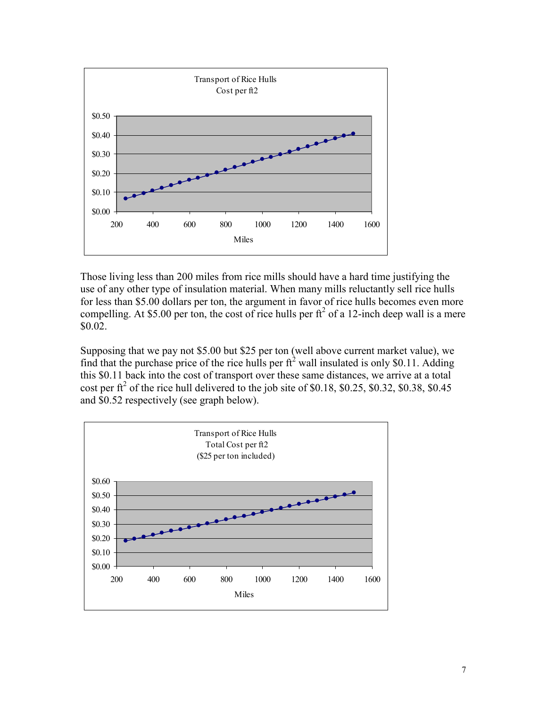

Those living less than 200 miles from rice mills should have a hard time justifying the use of any other type of insulation material. When many mills reluctantly sell rice hulls for less than \$5.00 dollars per ton, the argument in favor of rice hulls becomes even more compelling. At \$5.00 per ton, the cost of rice hulls per  $ft^2$  of a 12-inch deep wall is a mere \$0.02.

Supposing that we pay not \$5.00 but \$25 per ton (well above current market value), we find that the purchase price of the rice hulls per  $ft<sup>2</sup>$  wall insulated is only \$0.11. Adding this \$0.11 back into the cost of transport over these same distances, we arrive at a total cost per  $\text{ft}^2$  of the rice hull delivered to the job site of \$0.18, \$0.25, \$0.32, \$0.38, \$0.45 and \$0.52 respectively (see graph below).

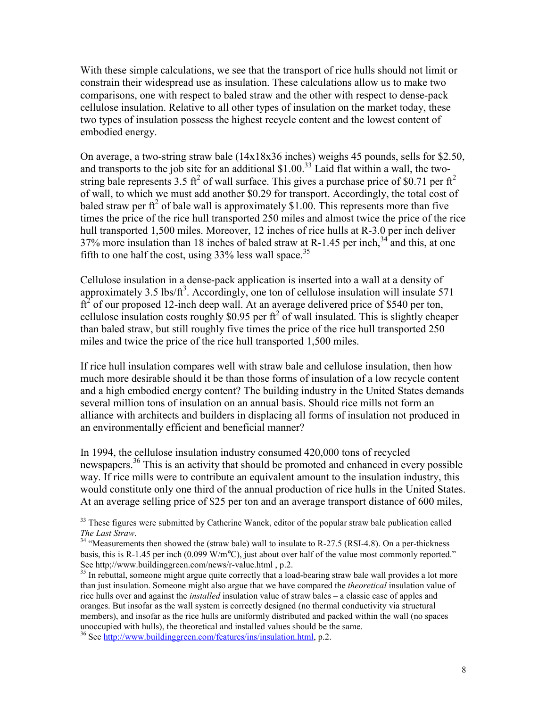With these simple calculations, we see that the transport of rice hulls should not limit or constrain their widespread use as insulation. These calculations allow us to make two comparisons, one with respect to baled straw and the other with respect to dense-pack cellulose insulation. Relative to all other types of insulation on the market today, these two types of insulation possess the highest recycle content and the lowest content of embodied energy.

On average, a two-string straw bale (14x18x36 inches) weighs 45 pounds, sells for \$2.50, and transports to the job site for an additional  $$1.00<sup>33</sup>$  Laid flat within a wall, the twostring bale represents 3.5 ft<sup>2</sup> of wall surface. This gives a purchase price of \$0.71 per ft<sup>2</sup> of wall, to which we must add another \$0.29 for transport. Accordingly, the total cost of baled straw per  $f_1^2$  of bale wall is approximately \$1.00. This represents more than five times the price of the rice hull transported 250 miles and almost twice the price of the rice hull transported 1,500 miles. Moreover, 12 inches of rice hulls at R-3.0 per inch deliver  $37\%$  more insulation than 18 inches of baled straw at R-1.45 per inch,<sup>34</sup> and this, at one fifth to one half the cost, using  $33\%$  less wall space.<sup>35</sup>

Cellulose insulation in a dense-pack application is inserted into a wall at a density of approximately 3.5 lbs/ $ft^3$ . Accordingly, one ton of cellulose insulation will insulate 571  $\text{ft}^2$  of our proposed 12-inch deep wall. At an average delivered price of \$540 per ton, cellulose insulation costs roughly \$0.95 per  $\pi^2$  of wall insulated. This is slightly cheaper than baled straw, but still roughly five times the price of the rice hull transported 250 miles and twice the price of the rice hull transported 1,500 miles.

If rice hull insulation compares well with straw bale and cellulose insulation, then how much more desirable should it be than those forms of insulation of a low recycle content and a high embodied energy content? The building industry in the United States demands several million tons of insulation on an annual basis. Should rice mills not form an alliance with architects and builders in displacing all forms of insulation not produced in an environmentally efficient and beneficial manner?

In 1994, the cellulose insulation industry consumed 420,000 tons of recycled newspapers.<sup>36</sup> This is an activity that should be promoted and enhanced in every possible way. If rice mills were to contribute an equivalent amount to the insulation industry, this would constitute only one third of the annual production of rice hulls in the United States. At an average selling price of \$25 per ton and an average transport distance of 600 miles,

<sup>&</sup>lt;sup>33</sup> These figures were submitted by Catherine Wanek, editor of the popular straw bale publication called

*The Last Straw.*<br><sup>34</sup> "Measurements then showed the (straw bale) wall to insulate to R-27.5 (RSI-4.8). On a per-thickness basis, this is R-1.45 per inch (0.099 W/m°C), just about over half of the value most commonly reported." See http;//www.buildinggreen.com/news/r-value.html , p.2.

<sup>&</sup>lt;sup>35</sup> In rebuttal, someone might argue quite correctly that a load-bearing straw bale wall provides a lot more than just insulation. Someone might also argue that we have compared the *theoretical* insulation value of rice hulls over and against the *installed* insulation value of straw bales – a classic case of apples and oranges. But insofar as the wall system is correctly designed (no thermal conductivity via structural members), and insofar as the rice hulls are uniformly distributed and packed within the wall (no spaces unoccupied with hulls), the theoretical and installed values should be the same.

<sup>36</sup> See http://www.buildinggreen.com/features/ins/insulation.html, p.2.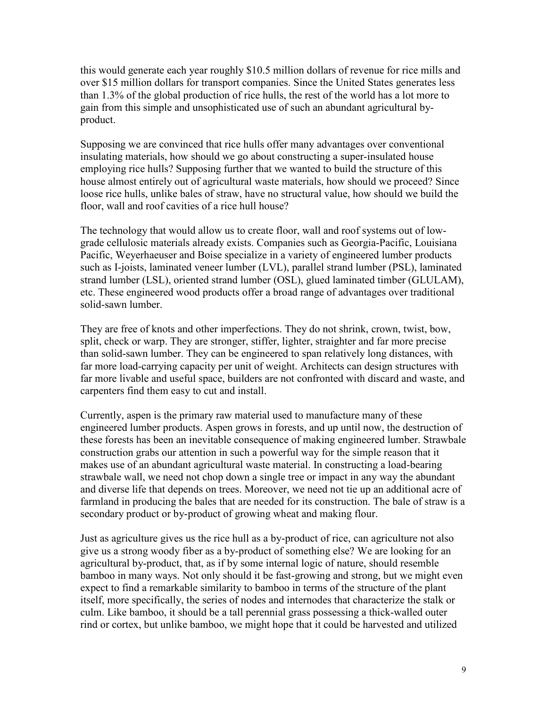this would generate each year roughly \$10.5 million dollars of revenue for rice mills and over \$15 million dollars for transport companies. Since the United States generates less than 1.3% of the global production of rice hulls, the rest of the world has a lot more to gain from this simple and unsophisticated use of such an abundant agricultural byproduct.

Supposing we are convinced that rice hulls offer many advantages over conventional insulating materials, how should we go about constructing a super-insulated house employing rice hulls? Supposing further that we wanted to build the structure of this house almost entirely out of agricultural waste materials, how should we proceed? Since loose rice hulls, unlike bales of straw, have no structural value, how should we build the floor, wall and roof cavities of a rice hull house?

The technology that would allow us to create floor, wall and roof systems out of lowgrade cellulosic materials already exists. Companies such as Georgia-Pacific, Louisiana Pacific, Weyerhaeuser and Boise specialize in a variety of engineered lumber products such as I-joists, laminated veneer lumber (LVL), parallel strand lumber (PSL), laminated strand lumber (LSL), oriented strand lumber (OSL), glued laminated timber (GLULAM), etc. These engineered wood products offer a broad range of advantages over traditional solid-sawn lumber.

They are free of knots and other imperfections. They do not shrink, crown, twist, bow, split, check or warp. They are stronger, stiffer, lighter, straighter and far more precise than solid-sawn lumber. They can be engineered to span relatively long distances, with far more load-carrying capacity per unit of weight. Architects can design structures with far more livable and useful space, builders are not confronted with discard and waste, and carpenters find them easy to cut and install.

Currently, aspen is the primary raw material used to manufacture many of these engineered lumber products. Aspen grows in forests, and up until now, the destruction of these forests has been an inevitable consequence of making engineered lumber. Strawbale construction grabs our attention in such a powerful way for the simple reason that it makes use of an abundant agricultural waste material. In constructing a load-bearing strawbale wall, we need not chop down a single tree or impact in any way the abundant and diverse life that depends on trees. Moreover, we need not tie up an additional acre of farmland in producing the bales that are needed for its construction. The bale of straw is a secondary product or by-product of growing wheat and making flour.

Just as agriculture gives us the rice hull as a by-product of rice, can agriculture not also give us a strong woody fiber as a by-product of something else? We are looking for an agricultural by-product, that, as if by some internal logic of nature, should resemble bamboo in many ways. Not only should it be fast-growing and strong, but we might even expect to find a remarkable similarity to bamboo in terms of the structure of the plant itself, more specifically, the series of nodes and internodes that characterize the stalk or culm. Like bamboo, it should be a tall perennial grass possessing a thick-walled outer rind or cortex, but unlike bamboo, we might hope that it could be harvested and utilized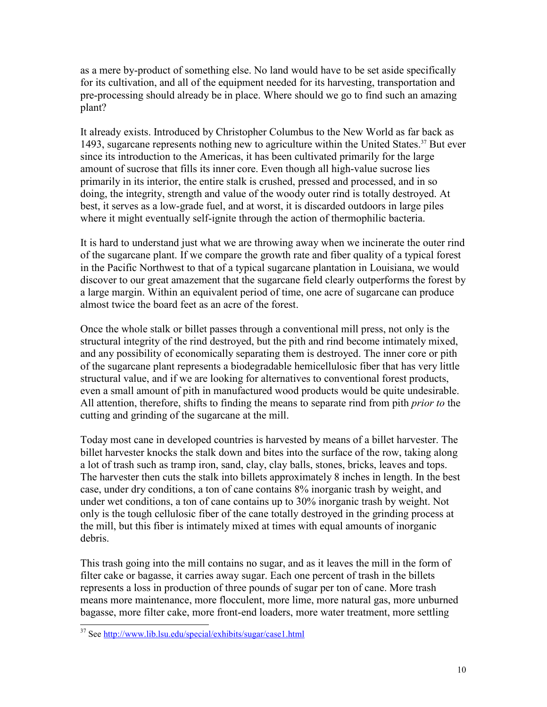as a mere by-product of something else. No land would have to be set aside specifically for its cultivation, and all of the equipment needed for its harvesting, transportation and pre-processing should already be in place. Where should we go to find such an amazing plant?

It already exists. Introduced by Christopher Columbus to the New World as far back as 1493, sugarcane represents nothing new to agriculture within the United States.<sup>37</sup> But ever since its introduction to the Americas, it has been cultivated primarily for the large amount of sucrose that fills its inner core. Even though all high-value sucrose lies primarily in its interior, the entire stalk is crushed, pressed and processed, and in so doing, the integrity, strength and value of the woody outer rind is totally destroyed. At best, it serves as a low-grade fuel, and at worst, it is discarded outdoors in large piles where it might eventually self-ignite through the action of thermophilic bacteria.

It is hard to understand just what we are throwing away when we incinerate the outer rind of the sugarcane plant. If we compare the growth rate and fiber quality of a typical forest in the Pacific Northwest to that of a typical sugarcane plantation in Louisiana, we would discover to our great amazement that the sugarcane field clearly outperforms the forest by a large margin. Within an equivalent period of time, one acre of sugarcane can produce almost twice the board feet as an acre of the forest.

Once the whole stalk or billet passes through a conventional mill press, not only is the structural integrity of the rind destroyed, but the pith and rind become intimately mixed, and any possibility of economically separating them is destroyed. The inner core or pith of the sugarcane plant represents a biodegradable hemicellulosic fiber that has very little structural value, and if we are looking for alternatives to conventional forest products, even a small amount of pith in manufactured wood products would be quite undesirable. All attention, therefore, shifts to finding the means to separate rind from pith *prior to* the cutting and grinding of the sugarcane at the mill.

Today most cane in developed countries is harvested by means of a billet harvester. The billet harvester knocks the stalk down and bites into the surface of the row, taking along a lot of trash such as tramp iron, sand, clay, clay balls, stones, bricks, leaves and tops. The harvester then cuts the stalk into billets approximately 8 inches in length. In the best case, under dry conditions, a ton of cane contains 8% inorganic trash by weight, and under wet conditions, a ton of cane contains up to 30% inorganic trash by weight. Not only is the tough cellulosic fiber of the cane totally destroyed in the grinding process at the mill, but this fiber is intimately mixed at times with equal amounts of inorganic debris.

This trash going into the mill contains no sugar, and as it leaves the mill in the form of filter cake or bagasse, it carries away sugar. Each one percent of trash in the billets represents a loss in production of three pounds of sugar per ton of cane. More trash means more maintenance, more flocculent, more lime, more natural gas, more unburned bagasse, more filter cake, more front-end loaders, more water treatment, more settling

<sup>37</sup> See http://www.lib.lsu.edu/special/exhibits/sugar/case1.html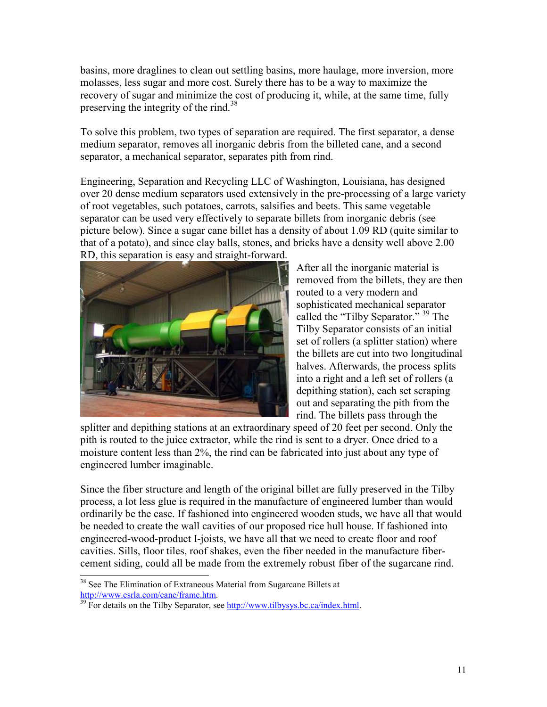basins, more draglines to clean out settling basins, more haulage, more inversion, more molasses, less sugar and more cost. Surely there has to be a way to maximize the recovery of sugar and minimize the cost of producing it, while, at the same time, fully preserving the integrity of the rind.<sup>38</sup>

To solve this problem, two types of separation are required. The first separator, a dense medium separator, removes all inorganic debris from the billeted cane, and a second separator, a mechanical separator, separates pith from rind.

Engineering, Separation and Recycling LLC of Washington, Louisiana, has designed over 20 dense medium separators used extensively in the pre-processing of a large variety of root vegetables, such potatoes, carrots, salsifies and beets. This same vegetable separator can be used very effectively to separate billets from inorganic debris (see picture below). Since a sugar cane billet has a density of about 1.09 RD (quite similar to that of a potato), and since clay balls, stones, and bricks have a density well above 2.00 RD, this separation is easy and straight-forward.



After all the inorganic material is removed from the billets, they are then routed to a very modern and sophisticated mechanical separator called the "Tilby Separator." <sup>39</sup> The Tilby Separator consists of an initial set of rollers (a splitter station) where the billets are cut into two longitudinal halves. Afterwards, the process splits into a right and a left set of rollers (a depithing station), each set scraping out and separating the pith from the rind. The billets pass through the

splitter and depithing stations at an extraordinary speed of 20 feet per second. Only the pith is routed to the juice extractor, while the rind is sent to a dryer. Once dried to a moisture content less than 2%, the rind can be fabricated into just about any type of engineered lumber imaginable.

Since the fiber structure and length of the original billet are fully preserved in the Tilby process, a lot less glue is required in the manufacture of engineered lumber than would ordinarily be the case. If fashioned into engineered wooden studs, we have all that would be needed to create the wall cavities of our proposed rice hull house. If fashioned into engineered-wood-product I-joists, we have all that we need to create floor and roof cavities. Sills, floor tiles, roof shakes, even the fiber needed in the manufacture fibercement siding, could all be made from the extremely robust fiber of the sugarcane rind.

<sup>&</sup>lt;sup>38</sup> See The Elimination of Extraneous Material from Sugarcane Billets at  $\frac{http://www.esrla.com/cane/frame.htm}{http://www.esrla.com/cane/frame.htm}$ .

 $\frac{1}{39}$  For details on the Tilby Separator, see http://www.tilbysys.bc.ca/index.html.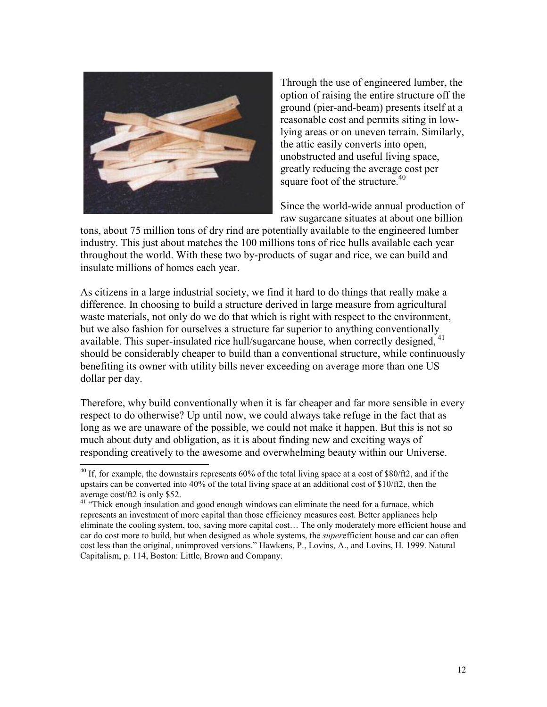

Through the use of engineered lumber, the option of raising the entire structure off the ground (pier-and-beam) presents itself at a reasonable cost and permits siting in lowlying areas or on uneven terrain. Similarly, the attic easily converts into open, unobstructed and useful living space, greatly reducing the average cost per square foot of the structure. $40$ 

Since the world-wide annual production of raw sugarcane situates at about one billion

tons, about 75 million tons of dry rind are potentially available to the engineered lumber industry. This just about matches the 100 millions tons of rice hulls available each year throughout the world. With these two by-products of sugar and rice, we can build and insulate millions of homes each year.

As citizens in a large industrial society, we find it hard to do things that really make a difference. In choosing to build a structure derived in large measure from agricultural waste materials, not only do we do that which is right with respect to the environment, but we also fashion for ourselves a structure far superior to anything conventionally available. This super-insulated rice hull/sugarcane house, when correctly designed, <sup>41</sup> should be considerably cheaper to build than a conventional structure, while continuously benefiting its owner with utility bills never exceeding on average more than one US dollar per day.

Therefore, why build conventionally when it is far cheaper and far more sensible in every respect to do otherwise? Up until now, we could always take refuge in the fact that as long as we are unaware of the possible, we could not make it happen. But this is not so much about duty and obligation, as it is about finding new and exciting ways of responding creatively to the awesome and overwhelming beauty within our Universe.

 $40$  If, for example, the downstairs represents 60% of the total living space at a cost of \$80/ft2, and if the upstairs can be converted into 40% of the total living space at an additional cost of \$10/ft2, then the average cost/ft2 is only \$52.

<sup>&</sup>lt;sup>41</sup> "Thick enough insulation and good enough windows can eliminate the need for a furnace, which represents an investment of more capital than those efficiency measures cost. Better appliances help eliminate the cooling system, too, saving more capital cost… The only moderately more efficient house and car do cost more to build, but when designed as whole systems, the *super*efficient house and car can often cost less than the original, unimproved versions." Hawkens, P., Lovins, A., and Lovins, H. 1999. Natural Capitalism, p. 114, Boston: Little, Brown and Company.